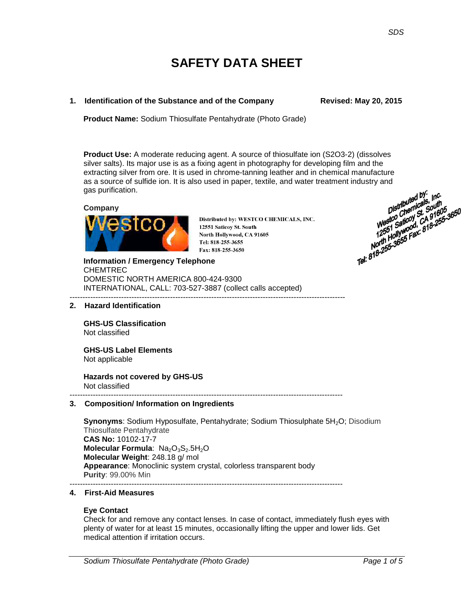# **SAFETY DATA SHEET**

# **1. Identification of the Substance and of the Company Fig. 2015** Revised: May 20, 2015

**Product Name:** Sodium Thiosulfate Pentahydrate (Photo Grade)

**Product Use:** A moderate reducing agent. A source of thiosulfate ion (S2O3-2) (dissolves silver salts). Its major use is as a fixing agent in photography for developing film and the extracting silver from ore. It is used in chrome-tanning leather and in chemical manufacture<br>as a source of sulfide ion. It is also used in paper, textile, and water treatment industry and<br>gas purification.<br>Company<br>Distrib as a source of sulfide ion. It is also used in paper, textile, and water treatment industry and gas purification. Distributed by:  $\mu$ <sub>G</sub>.<br>Distributed by:  $\mu$ G.<br>Westco aticoly St. 50uth<br>Westco aticoly St. 81605<br>12551 Billywood, *CA* 18-255-3650<br>North Hollywood, 818-255-3650<br>Tel: 818-255-3655 Fax: 818-255

# **Company**



Distributed by: WESTCO CHEMICALS, INC. 12551 Saticoy St. South North Hollywood, CA 91605 Tel: 818-255-3655 Fax: 818-255-3650

**Information / Emergency Telephone** CHEMTREC DOMESTIC NORTH AMERICA 800-424-9300 INTERNATIONAL, CALL: 703-527-3887 (collect calls accepted) -----------------------------------------------------------------------------------------------------------

#### **2. Hazard Identification**

**GHS-US Classification**  Not classified

**GHS-US Label Elements** Not applicable

**Hazards not covered by GHS-US**  Not classified

#### ---------------------------------------------------------------------------------------------------------- **3. Composition/ Information on Ingredients**

**Synonyms**: Sodium Hyposulfate, Pentahydrate; Sodium Thiosulphate 5H<sub>2</sub>O; Disodium Thiosulfate Pentahydrate **CAS No:** 10102-17-7 **Molecular Formula: Na<sub>2</sub>O<sub>3</sub>S<sub>2</sub>.5H<sub>2</sub>O Molecular Weight**: 248.18 g/ mol **Appearance**: Monoclinic system crystal, colorless transparent body **Purity**: 99.00% Min ----------------------------------------------------------------------------------------------------------

#### **4. First-Aid Measures**

#### **Eye Contact**

Check for and remove any contact lenses. In case of contact, immediately flush eyes with plenty of water for at least 15 minutes, occasionally lifting the upper and lower lids. Get medical attention if irritation occurs.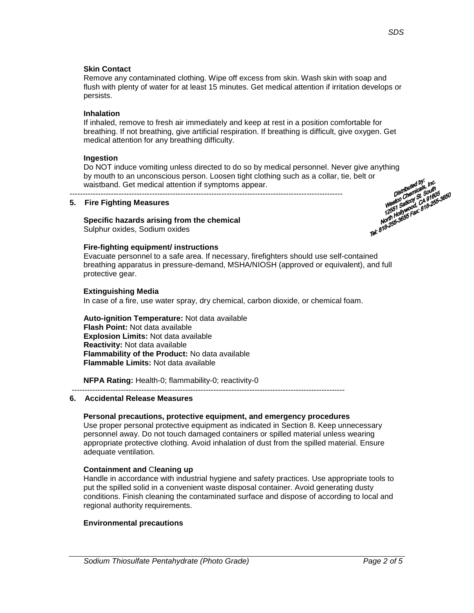# **Skin Contact**

Remove any contaminated clothing. Wipe off excess from skin. Wash skin with soap and flush with plenty of water for at least 15 minutes. Get medical attention if irritation develops or persists.

# **Inhalation**

If inhaled, remove to fresh air immediately and keep at rest in a position comfortable for breathing. If not breathing, give artificial respiration. If breathing is difficult, give oxygen. Get medical attention for any breathing difficulty.

# **Ingestion**

Do NOT induce vomiting unless directed to do so by medical personnel. Never give anything<br>by mouth to an unconscious person. Loosen tight clothing such as a collar, tie, belt or<br>waistband. Get medical attention if symptoms by mouth to an unconscious person. Loosen tight clothing such as a collar, tie, belt or waistband. Get medical attention if symptoms appear.

# **5. Fire Fighting Measures**

# **Specific hazards arising from the chemical**

----------------------------------------------------------------------------------------------------------

Sulphur oxides, Sodium oxides

# **Fire-fighting equipment/ instructions**

Evacuate personnel to a safe area. If necessary, firefighters should use self-contained breathing apparatus in pressure-demand, MSHA/NIOSH (approved or equivalent), and full protective gear.

# **Extinguishing Media**

In case of a fire, use water spray, dry chemical, carbon dioxide, or chemical foam.

**Auto-ignition Temperature:** Not data available **Flash Point:** Not data available **Explosion Limits:** Not data available **Reactivity:** Not data available **Flammability of the Product:** No data available **Flammable Limits:** Not data available

**NFPA Rating:** Health-0; flammability-0; reactivity-0

----------------------------------------------------------------------------------------------------------

# **6. Accidental Release Measures**

# **Personal precautions, protective equipment, and emergency procedures**

Use proper personal protective equipment as indicated in Section 8. Keep unnecessary personnel away. Do not touch damaged containers or spilled material unless wearing appropriate protective clothing. Avoid inhalation of dust from the spilled material. Ensure adequate ventilation.

# **Containment and** C**leaning up**

Handle in accordance with industrial hygiene and safety practices. Use appropriate tools to put the spilled solid in a convenient waste disposal container. Avoid generating dusty conditions. Finish cleaning the contaminated surface and dispose of according to local and regional authority requirements.

# **Environmental precautions**

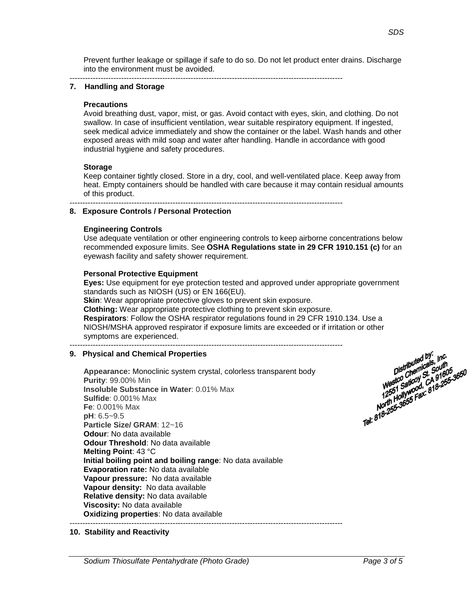---------------------------------------------------------------------------------------------------------- **7. Handling and Storage**

# **Precautions**

Avoid breathing dust, vapor, mist, or gas. Avoid contact with eyes, skin, and clothing. Do not swallow. In case of insufficient ventilation, wear suitable respiratory equipment. If ingested, seek medical advice immediately and show the container or the label. Wash hands and other exposed areas with mild soap and water after handling. Handle in accordance with good industrial hygiene and safety procedures.

Prevent further leakage or spillage if safe to do so. Do not let product enter drains. Discharge

# **Storage**

Keep container tightly closed. Store in a dry, cool, and well-ventilated place. Keep away from heat. Empty containers should be handled with care because it may contain residual amounts of this product.

#### ---------------------------------------------------------------------------------------------------------- **8. Exposure Controls / Personal Protection**

into the environment must be avoided.

# **Engineering Controls**

Use adequate ventilation or other engineering controls to keep airborne concentrations below recommended exposure limits. See **OSHA Regulations state in 29 CFR 1910.151 (c)** for an eyewash facility and safety shower requirement.

# **Personal Protective Equipment**

**Eyes:** Use equipment for eye protection tested and approved under appropriate government standards such as NIOSH (US) or EN 166(EU).

**Skin**: Wear appropriate protective gloves to prevent skin exposure. **Clothing:** Wear appropriate protective clothing to prevent skin exposure. **Respirators**: Follow the OSHA respirator regulations found in 29 CFR 1910.134. Use a NIOSH/MSHA approved respirator if exposure limits are exceeded or if irritation or other symptoms are experienced. ----------------------------------------------------------------------------------------------------------

# **9. Physical and Chemical Properties**

**Appearance:** Monoclinic system crystal, colorless transparent body **Purity**: 99.00% Min **Insoluble Substance in Water**: 0.01% Max **Sulfide**: 0.001% Max **Fe**: 0.001% Max **pH**: 6.5~9.5 **Particle Size/ GRAM**: 12~16 **Odour**: No data available **Odour Threshold**: No data available **Melting Point**: 43 °C **Initial boiling point and boiling range**: No data available **Evaporation rate:** No data available **Vapour pressure:** No data available **Vapour density:** No data available **Relative density:** No data available **Viscosity:** No data available **Oxidizing properties**: No data available

----------------------------------------------------------------------------------------------------------



# **10. Stability and Reactivity**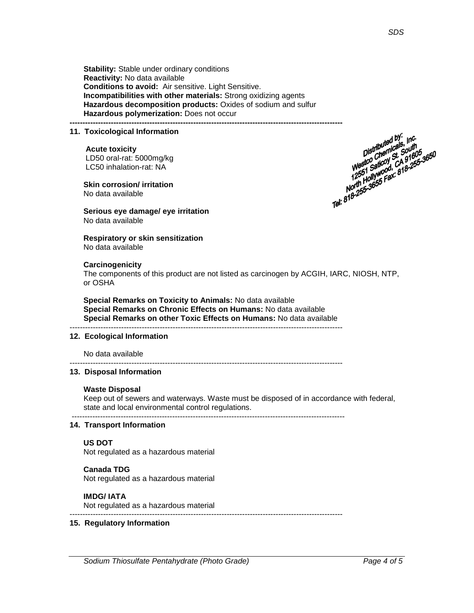Distributed by:<br>Distributed by:<br>Distributed South<br>Westco Cheod, CA 9160<br>Westco Cation CA 9-255

**Stability:** Stable under ordinary conditions **Reactivity:** No data available **Conditions to avoid:** Air sensitive. Light Sensitive. **Incompatibilities with other materials:** Strong oxidizing agents **Hazardous decomposition products:** Oxides of sodium and sulfur **Hazardous polymerization:** Does not occur

#### **---------------------------------------------------------------------------------------------------------- 11. Toxicological Information**

#### **Acute toxicity**

LD50 oral-rat: 5000mg/kg LC50 inhalation-rat: NA

**Skin corrosion/ irritation** No data available

**Serious eye damage/ eye irritation** No data available

# **Respiratory or skin sensitization**

No data available

#### **Carcinogenicity**

The components of this product are not listed as carcinogen by ACGIH, IARC, NIOSH, NTP, or OSHA

**Special Remarks on Toxicity to Animals:** No data available **Special Remarks on Chronic Effects on Humans:** No data available **Special Remarks on other Toxic Effects on Humans:** No data available ----------------------------------------------------------------------------------------------------------

#### **12. Ecological Information**

No data available

#### **13. Disposal Information**

#### **Waste Disposal**

Keep out of sewers and waterways. Waste must be disposed of in accordance with federal, state and local environmental control regulations.

----------------------------------------------------------------------------------------------------------

----------------------------------------------------------------------------------------------------------

# **14. Transport Information**

#### **US DOT**

Not regulated as a hazardous material

#### **Canada TDG**

Not regulated as a hazardous material

#### **IMDG/ IATA**

Not regulated as a hazardous material

----------------------------------------------------------------------------------------------------------

# **15. Regulatory Information**